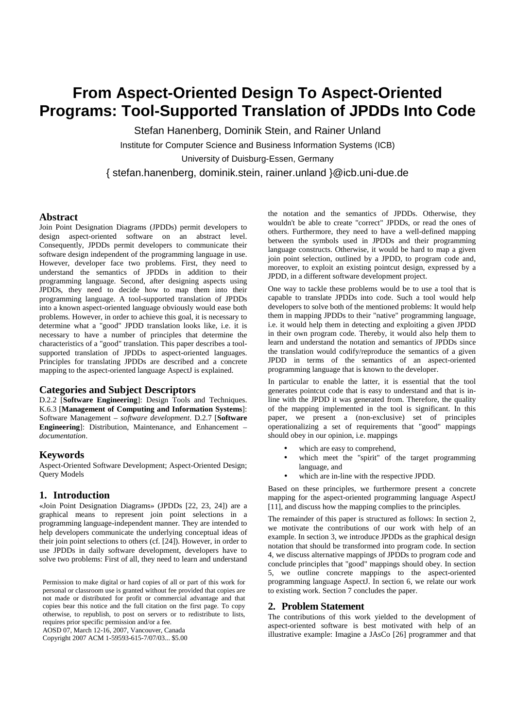# **From Aspect-Oriented Design To Aspect-Oriented Programs: Tool-Supported Translation of JPDDs Into Code**

Stefan Hanenberg, Dominik Stein, and Rainer Unland

Institute for Computer Science and Business Information Systems (ICB)

University of Duisburg-Essen, Germany

{ stefan.hanenberg, dominik.stein, rainer.unland }@icb.uni-due.de

# **Abstract**

Join Point Designation Diagrams (JPDDs) permit developers to design aspect-oriented software on an abstract level. Consequently, JPDDs permit developers to communicate their software design independent of the programming language in use. However, developer face two problems. First, they need to understand the semantics of JPDDs in addition to their programming language. Second, after designing aspects using JPDDs, they need to decide how to map them into their programming language. A tool-supported translation of JPDDs into a known aspect-oriented language obviously would ease both problems. However, in order to achieve this goal, it is necessary to determine what a "good" JPDD translation looks like, i.e. it is necessary to have a number of principles that determine the characteristics of a "good" translation. This paper describes a toolsupported translation of JPDDs to aspect-oriented languages. Principles for translating JPDDs are described and a concrete mapping to the aspect-oriented language AspectJ is explained.

## **Categories and Subject Descriptors**

D.2.2 [**Software Engineering**]: Design Tools and Techniques. K.6.3 [**Management of Computing and Information Systems**]: Software Management – *software development*. D.2.7 [**Software Engineering**]: Distribution, Maintenance, and Enhancement – *documentation*.

# **Keywords**

Aspect-Oriented Software Development; Aspect-Oriented Design; Query Models

# **1. Introduction**

«Join Point Designation Diagrams» (JPDDs [22, 23, 24]) are a graphical means to represent join point selections in a programming language-independent manner. They are intended to help developers communicate the underlying conceptual ideas of their join point selections to others (cf. [24]). However, in order to use JPDDs in daily software development, developers have to solve two problems: First of all, they need to learn and understand

AOSD 07, March 12-16, 2007, Vancouver, Canada

Copyright 2007 ACM 1-59593-615-7/07/03... \$5.00

the notation and the semantics of JPDDs. Otherwise, they wouldn't be able to create "correct" JPDDs, or read the ones of others. Furthermore, they need to have a well-defined mapping between the symbols used in JPDDs and their programming language constructs. Otherwise, it would be hard to map a given join point selection, outlined by a JPDD, to program code and, moreover, to exploit an existing pointcut design, expressed by a JPDD, in a different software development project.

One way to tackle these problems would be to use a tool that is capable to translate JPDDs into code. Such a tool would help developers to solve both of the mentioned problems: It would help them in mapping JPDDs to their "native" programming language, i.e. it would help them in detecting and exploiting a given JPDD in their own program code. Thereby, it would also help them to learn and understand the notation and semantics of JPDDs since the translation would codify/reproduce the semantics of a given JPDD in terms of the semantics of an aspect-oriented programming language that is known to the developer.

In particular to enable the latter, it is essential that the tool generates pointcut code that is easy to understand and that is inline with the JPDD it was generated from. Therefore, the quality of the mapping implemented in the tool is significant. In this paper, we present a (non-exclusive) set of principles operationalizing a set of requirements that "good" mappings should obey in our opinion, i.e. mappings

- which are easy to comprehend,
- which meet the "spirit" of the target programming language, and
- which are in-line with the respective JPDD.

Based on these principles, we furthermore present a concrete mapping for the aspect-oriented programming language AspectJ [11], and discuss how the mapping complies to the principles.

The remainder of this paper is structured as follows: In section 2, we motivate the contributions of our work with help of an example. In section 3, we introduce JPDDs as the graphical design notation that should be transformed into program code. In section 4, we discuss alternative mappings of JPDDs to program code and conclude principles that "good" mappings should obey. In section 5, we outline concrete mappings to the aspect-oriented programming language AspectJ. In section 6, we relate our work to existing work. Section 7 concludes the paper.

# **2. Problem Statement**

The contributions of this work yielded to the development of aspect-oriented software is best motivated with help of an illustrative example: Imagine a JAsCo [26] programmer and that

Permission to make digital or hard copies of all or part of this work for personal or classroom use is granted without fee provided that copies are not made or distributed for profit or commercial advantage and that copies bear this notice and the full citation on the first page. To copy otherwise, to republish, to post on servers or to redistribute to lists, requires prior specific permission and/or a fee.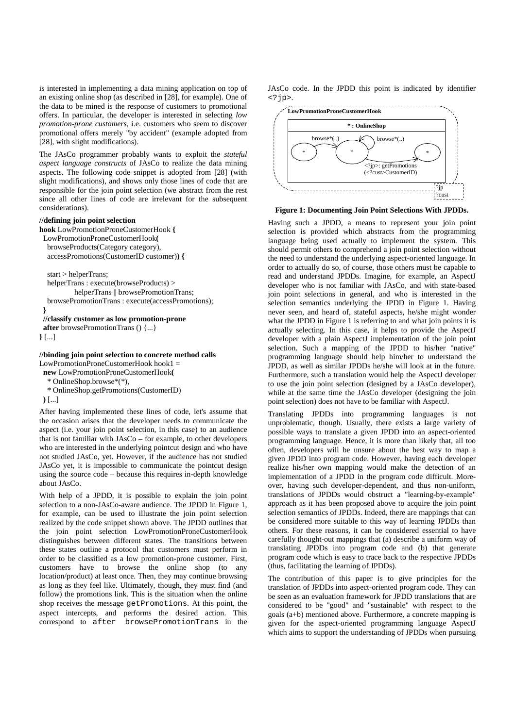is interested in implementing a data mining application on top of an existing online shop (as described in [28], for example). One of the data to be mined is the response of customers to promotional offers. In particular, the developer is interested in selecting *low promotion-prone customers*, i.e. customers who seem to discover promotional offers merely "by accident" (example adopted from [28], with slight modifications).

The JAsCo programmer probably wants to exploit the *stateful aspect language constructs* of JAsCo to realize the data mining aspects. The following code snippet is adopted from [28] (with slight modifications), and shows only those lines of code that are responsible for the join point selection (we abstract from the rest since all other lines of code are irrelevant for the subsequent considerations).

#### **//defining join point selection**

**hook** LowPromotionProneCustomerHook **{** LowPromotionProneCustomerHook**(** browseProducts(Category category), accessPromotions(CustomerID customer)**) {** start > helperTrans; helperTrans : execute(browseProducts) > helperTrans || browsePromotionTrans:

```
 browsePromotionTrans : execute(accessPromotions);
 }
 //classify customer as low promotion-prone
```
**after** browsePromotionTrans () {...}

**}** [...]

#### **//binding join point selection to concrete method calls** LowPromotionProneCustomerHook hook1 =

**new** LowPromotionProneCustomerHook**(**

\* OnlineShop.browse\*(\*),

\* OnlineShop.getPromotions(CustomerID)

 **)** [...]

After having implemented these lines of code, let's assume that the occasion arises that the developer needs to communicate the aspect (i.e. your join point selection, in this case) to an audience that is not familiar with JAsCo – for example, to other developers who are interested in the underlying pointcut design and who have not studied JAsCo, yet. However, if the audience has not studied JAsCo yet, it is impossible to communicate the pointcut design using the source code – because this requires in-depth knowledge about JAsCo.

With help of a JPDD, it is possible to explain the join point selection to a non-JAsCo-aware audience. The JPDD in Figure 1, for example, can be used to illustrate the join point selection realized by the code snippet shown above. The JPDD outlines that the join point selection LowPromotionProneCustomerHook distinguishes between different states. The transitions between these states outline a protocol that customers must perform in order to be classified as a low promotion-prone customer. First, customers have to browse the online shop (to any location/product) at least once. Then, they may continue browsing as long as they feel like. Ultimately, though, they must find (and follow) the promotions link. This is the situation when the online shop receives the message getPromotions. At this point, the aspect intercepts, and performs the desired action. This correspond to after browsePromotionTrans in the

JAsCo code. In the JPDD this point is indicated by identifier  $<$ ? $ip$ >.



**Figure 1: Documenting Join Point Selections With JPDDs.**

Having such a JPDD, a means to represent your join point selection is provided which abstracts from the programming language being used actually to implement the system. This should permit others to comprehend a join point selection without the need to understand the underlying aspect-oriented language. In order to actually do so, of course, those others must be capable to read and understand JPDDs. Imagine, for example, an AspectJ developer who is not familiar with JAsCo, and with state-based join point selections in general, and who is interested in the selection semantics underlying the JPDD in Figure 1. Having never seen, and heard of, stateful aspects, he/she might wonder what the JPDD in Figure 1 is referring to and what join points it is actually selecting. In this case, it helps to provide the AspectJ developer with a plain AspectJ implementation of the join point selection. Such a mapping of the JPDD to his/her "native" programming language should help him/her to understand the JPDD, as well as similar JPDDs he/she will look at in the future. Furthermore, such a translation would help the AspectJ developer to use the join point selection (designed by a JAsCo developer), while at the same time the JAsCo developer (designing the join point selection) does not have to be familiar with AspectJ.

Translating JPDDs into programming languages is not unproblematic, though. Usually, there exists a large variety of possible ways to translate a given JPDD into an aspect-oriented programming language. Hence, it is more than likely that, all too often, developers will be unsure about the best way to map a given JPDD into program code. However, having each developer realize his/her own mapping would make the detection of an implementation of a JPDD in the program code difficult. Moreover, having such developer-dependent, and thus non-uniform, translations of JPDDs would obstruct a "learning-by-example" approach as it has been proposed above to acquire the join point selection semantics of JPDDs. Indeed, there are mappings that can be considered more suitable to this way of learning JPDDs than others. For these reasons, it can be considered essential to have carefully thought-out mappings that (a) describe a uniform way of translating JPDDs into program code and (b) that generate program code which is easy to trace back to the respective JPDDs (thus, facilitating the learning of JPDDs).

The contribution of this paper is to give principles for the translation of JPDDs into aspect-oriented program code. They can be seen as an evaluation framework for JPDD translations that are considered to be "good" and "sustainable" with respect to the goals (a+b) mentioned above. Furthermore, a concrete mapping is given for the aspect-oriented programming language AspectJ which aims to support the understanding of JPDDs when pursuing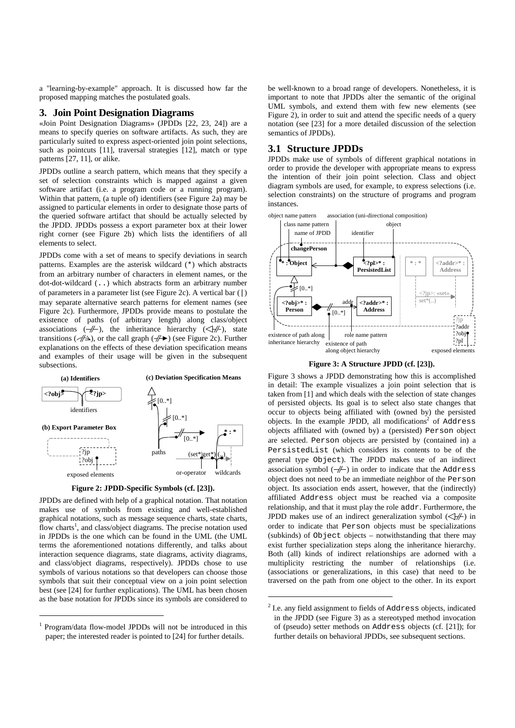a "learning-by-example" approach. It is discussed how far the proposed mapping matches the postulated goals.

# **3. Join Point Designation Diagrams**

«Join Point Designation Diagrams» (JPDDs [22, 23, 24]) are a means to specify queries on software artifacts. As such, they are particularly suited to express aspect-oriented join point selections, such as pointcuts [11], traversal strategies [12], match or type patterns [27, 11], or alike.

JPDDs outline a search pattern, which means that they specify a set of selection constraints which is mapped against a given software artifact (i.e. a program code or a running program). Within that pattern, (a tuple of) identifiers (see Figure 2a) may be assigned to particular elements in order to designate those parts of the queried software artifact that should be actually selected by the JPDD. JPDDs possess a export parameter box at their lower right corner (see Figure 2b) which lists the identifiers of all elements to select.

JPDDs come with a set of means to specify deviations in search patterns. Examples are the asterisk wildcard (\*) which abstracts from an arbitrary number of characters in element names, or the dot-dot-wildcard (..) which abstracts form an arbitrary number of parameters in a parameter list (see Figure 2c). A vertical bar (|) may separate alternative search patterns for element names (see Figure 2c). Furthermore, JPDDs provide means to postulate the existence of paths (of arbitrary length) along class/object associations  $(\mathcal{H})$ , the inheritance hierarchy  $(\mathcal{H})$ , state transitions ( $\mathcal{A}$ ), or the call graph ( $\mathcal{A}$ ) (see Figure 2c). Further explanations on the effects of these deviation specification means and examples of their usage will be given in the subsequent subsections.



**Figure 2: JPDD-Specific Symbols (cf. [23]).**

JPDDs are defined with help of a graphical notation. That notation makes use of symbols from existing and well-established graphical notations, such as message sequence charts, state charts, flow charts<sup>1</sup>, and class/object diagrams. The precise notation used in JPDDs is the one which can be found in the UML (the UML terms the aforementioned notations differently, and talks about interaction sequence diagrams, state diagrams, activity diagrams, and class/object diagrams, respectively). JPDDs chose to use symbols of various notations so that developers can choose those symbols that suit their conceptual view on a join point selection best (see [24] for further explications). The UML has been chosen as the base notation for JPDDs since its symbols are considered to

1

be well-known to a broad range of developers. Nonetheless, it is important to note that JPDDs alter the semantic of the original UML symbols, and extend them with few new elements (see Figure 2), in order to suit and attend the specific needs of a query notation (see [23] for a more detailed discussion of the selection semantics of JPDDs).

# **3.1 Structure JPDDs**

JPDDs make use of symbols of different graphical notations in order to provide the developer with appropriate means to express the intention of their join point selection. Class and object diagram symbols are used, for example, to express selections (i.e. selection constraints) on the structure of programs and program instances.



**Figure 3: A Structure JPDD (cf. [23]).**

Figure 3 shows a JPDD demonstrating how this is accomplished in detail: The example visualizes a join point selection that is taken from [1] and which deals with the selection of state changes of persisted objects. Its goal is to select also state changes that occur to objects being affiliated with (owned by) the persisted objects. In the example JPDD, all modifications<sup>2</sup> of Address objects affiliated with (owned by) a (persisted) Person object are selected. Person objects are persisted by (contained in) a PersistedList (which considers its contents to be of the general type Object). The JPDD makes use of an indirect association symbol  $(\mathcal{H})$  in order to indicate that the Address object does not need to be an immediate neighbor of the Person object. Its association ends assert, however, that the (indirectly) affiliated Address object must be reached via a composite relationship, and that it must play the role addr. Furthermore, the JPDD makes use of an indirect generalization symbol  $(\leq \n#)$  in order to indicate that Person objects must be specializations (subkinds) of Object objects – notwithstanding that there may exist further specialization steps along the inheritance hierarchy. Both (all) kinds of indirect relationships are adorned with a multiplicity restricting the number of relationships (i.e. (associations or generalizations, in this case) that need to be traversed on the path from one object to the other. In its export

 $\overline{a}$ 

<sup>1</sup> Program/data flow-model JPDDs will not be introduced in this paper; the interested reader is pointed to [24] for further details.

 $2$  I.e. any field assignment to fields of Address objects, indicated in the JPDD (see Figure 3) as a stereotyped method invocation of (pseudo) setter methods on Address objects (cf. [21]); for further details on behavioral JPDDs, see subsequent sections.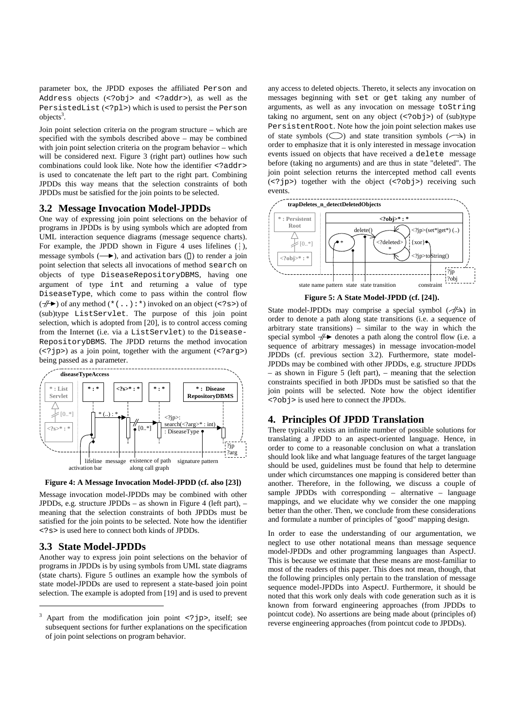parameter box, the JPDD exposes the affiliated Person and Address objects (<?obj> and <?addr>), as well as the PersistedList (<?pl>) which is used to persist the Person  $objects<sup>3</sup>$ .

Join point selection criteria on the program structure – which are specified with the symbols described above – may be combined with join point selection criteria on the program behavior – which will be considered next. Figure 3 (right part) outlines how such combinations could look like. Note how the identifier <?addr> is used to concatenate the left part to the right part. Combining JPDDs this way means that the selection constraints of both JPDDs must be satisfied for the join points to be selected.

## **3.2 Message Invocation Model-JPDDs**

One way of expressing join point selections on the behavior of programs in JPDDs is by using symbols which are adopted from UML interaction sequence diagrams (message sequence charts). For example, the JPDD shown in Figure 4 uses lifelines  $(\cdot)$ , message symbols  $(\rightarrow)$ , and activation bars  $(\rvert)$  to render a join point selection that selects all invocations of method search on objects of type DiseaseRepositoryDBMS, having one argument of type int and returning a value of type DiseaseType, which come to pass within the control flow  $(\mathcal{H} \blacktriangleright)$  of any method  $(* ( . . ) : *)$  invoked on an object  $(\langle ?s \rangle)$  of (sub)type ListServlet. The purpose of this join point selection, which is adopted from [20], is to control access coming from the Internet (i.e. via a ListServlet) to the Disease-RepositoryDBMS. The JPDD returns the method invocation (<?jp>) as a join point, together with the argument (<?arg>) being passed as a parameter.



**Figure 4: A Message Invocation Model-JPDD (cf. also [23])**

Message invocation model-JPDDs may be combined with other JPDDs, e.g. structure JPDDs – as shown in Figure 4 (left part), – meaning that the selection constraints of both JPDDs must be satisfied for the join points to be selected. Note how the identifier <?s> is used here to connect both kinds of JPDDs.

# **3.3 State Model-JPDDs**

1

Another way to express join point selections on the behavior of programs in JPDDs is by using symbols from UML state diagrams (state charts). Figure 5 outlines an example how the symbols of state model-JPDDs are used to represent a state-based join point selection. The example is adopted from [19] and is used to prevent

any access to deleted objects. Thereto, it selects any invocation on messages beginning with set or get taking any number of arguments, as well as any invocation on message toString taking no argument, sent on any object  $(\leq 2 \circ b)^{\frac{1}{2}}$  of  $(\text{sub})$ type PersistentRoot. Note how the join point selection makes use of state symbols  $(\bigcirc)$  and state transition symbols  $(\frown)$  in order to emphasize that it is only interested in message invocation events issued on objects that have received a delete message before (taking no arguments) and are thus in state "deleted". The join point selection returns the intercepted method call events (<?jp>) together with the object (<?obj>) receiving such events.



**Figure 5: A State Model-JPDD (cf. [24]).**

State model-JPDDs may comprise a special symbol  $(\mathcal{A}\mathcal{S})$  in order to denote a path along state transitions (i.e. a sequence of arbitrary state transitions) – similar to the way in which the special symbol  $\not\!\!\!\!/ \blacktriangleright$  denotes a path along the control flow (i.e. a sequence of arbitrary messages) in message invocation-model JPDDs (cf. previous section 3.2). Furthermore, state model-JPDDs may be combined with other JPDDs, e.g. structure JPDDs – as shown in Figure 5 (left part), – meaning that the selection constraints specified in both JPDDs must be satisfied so that the join points will be selected. Note how the object identifier <?obj> is used here to connect the JPDDs.

# **4. Principles Of JPDD Translation**

There typically exists an infinite number of possible solutions for translating a JPDD to an aspect-oriented language. Hence, in order to come to a reasonable conclusion on what a translation should look like and what language features of the target language should be used, guidelines must be found that help to determine under which circumstances one mapping is considered better than another. Therefore, in the following, we discuss a couple of sample JPDDs with corresponding – alternative – language mappings, and we elucidate why we consider the one mapping better than the other. Then, we conclude from these considerations and formulate a number of principles of "good" mapping design.

In order to ease the understanding of our argumentation, we neglect to use other notational means than message sequence model-JPDDs and other programming languages than AspectJ. This is because we estimate that these means are most-familiar to most of the readers of this paper. This does not mean, though, that the following principles only pertain to the translation of message sequence model-JPDDs into AspectJ. Furthermore, it should be noted that this work only deals with code generation such as it is known from forward engineering approaches (from JPDDs to pointcut code). No assertions are being made about (principles of) reverse engineering approaches (from pointcut code to JPDDs).

<sup>3</sup> Apart from the modification join point <? jp>, itself; see subsequent sections for further explanations on the specification of join point selections on program behavior.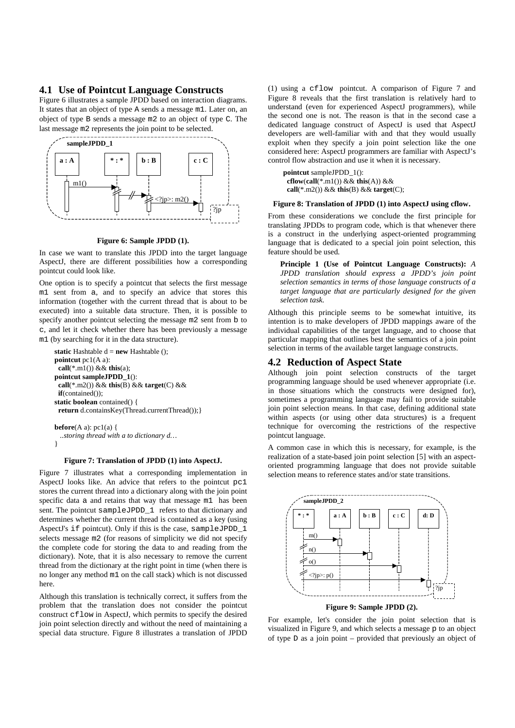# **4.1 Use of Pointcut Language Constructs**

Figure 6 illustrates a sample JPDD based on interaction diagrams. It states that an object of type A sends a message m1. Later on, an object of type B sends a message m2 to an object of type C. The last message m2 represents the join point to be selected.



**Figure 6: Sample JPDD (1).**

In case we want to translate this JPDD into the target language AspectJ, there are different possibilities how a corresponding pointcut could look like.

One option is to specify a pointcut that selects the first message m1 sent from a, and to specify an advice that stores this information (together with the current thread that is about to be executed) into a suitable data structure. Then, it is possible to specify another pointcut selecting the message m2 sent from b to c, and let it check whether there has been previously a message m1 (by searching for it in the data structure).

```
static Hashtable d = new Hashtable ();
pointcut pc1(A a):
  call(*.m1()) && this(a);
pointcut sampleJPDD_1():
  call(*.m2()) && this(B) && target(C) &&
  if(contained());
static boolean contained() {
  return d.containsKey(Thread.currentThread());}
before(A a): pcl(a) {
  ..storing thread with a to dictionary d…
```
}

#### **Figure 7: Translation of JPDD (1) into AspectJ.**

Figure 7 illustrates what a corresponding implementation in AspectJ looks like. An advice that refers to the pointcut pc1 stores the current thread into a dictionary along with the join point specific data a and retains that way that message m1 has been sent. The pointcut sampleJPDD 1 refers to that dictionary and determines whether the current thread is contained as a key (using AspectJ's if pointcut). Only if this is the case, sampleJPDD\_1 selects message m2 (for reasons of simplicity we did not specify the complete code for storing the data to and reading from the dictionary). Note, that it is also necessary to remove the current thread from the dictionary at the right point in time (when there is no longer any method m1 on the call stack) which is not discussed here.

Although this translation is technically correct, it suffers from the problem that the translation does not consider the pointcut construct cflow in AspectJ, which permits to specify the desired join point selection directly and without the need of maintaining a special data structure. Figure 8 illustrates a translation of JPDD

(1) using a cflow pointcut. A comparison of Figure 7 and Figure 8 reveals that the first translation is relatively hard to understand (even for experienced AspectJ programmers), while the second one is not. The reason is that in the second case a dedicated language construct of AspectJ is used that AspectJ developers are well-familiar with and that they would usually exploit when they specify a join point selection like the one considered here: AspectJ programmers are familiar with AspectJ's control flow abstraction and use it when it is necessary.

**pointcut** sampleJPDD\_1(): **cflow**(**call**(\*.m1()) && **this**(A)) && **call**(\*.m2()) && **this**(B) && **target**(C);

## **Figure 8: Translation of JPDD (1) into AspectJ using cflow.**

From these considerations we conclude the first principle for translating JPDDs to program code, which is that whenever there is a construct in the underlying aspect-oriented programming language that is dedicated to a special join point selection, this feature should be used.

**Principle 1 (Use of Pointcut Language Constructs):** *A JPDD translation should express a JPDD's join point selection semantics in terms of those language constructs of a target language that are particularly designed for the given selection task.*

Although this principle seems to be somewhat intuitive, its intention is to make developers of JPDD mappings aware of the individual capabilities of the target language, and to choose that particular mapping that outlines best the semantics of a join point selection in terms of the available target language constructs.

#### **4.2 Reduction of Aspect State**

Although join point selection constructs of the target programming language should be used whenever appropriate (i.e. in those situations which the constructs were designed for), sometimes a programming language may fail to provide suitable join point selection means. In that case, defining additional state within aspects (or using other data structures) is a frequent technique for overcoming the restrictions of the respective pointcut language.

A common case in which this is necessary, for example, is the realization of a state-based join point selection [5] with an aspectoriented programming language that does not provide suitable selection means to reference states and/or state transitions.



**Figure 9: Sample JPDD (2).**

For example, let's consider the join point selection that is visualized in Figure 9, and which selects a message p to an object of type D as a join point – provided that previously an object of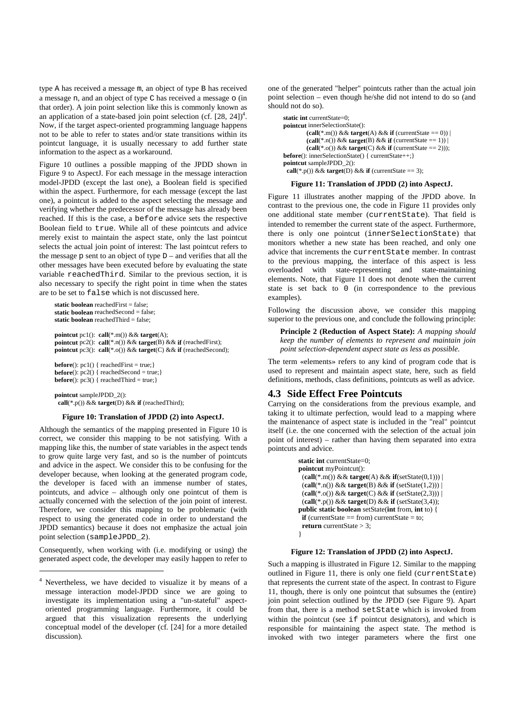type A has received a message m, an object of type B has received a message n, and an object of type C has received a message o (in that order). A join point selection like this is commonly known as an application of a state-based join point selection (cf.  $[28, 24]$ <sup>4</sup>. Now, if the target aspect-oriented programming language happens not to be able to refer to states and/or state transitions within its pointcut language, it is usually necessary to add further state information to the aspect as a workaround.

Figure 10 outlines a possible mapping of the JPDD shown in Figure 9 to AspectJ. For each message in the message interaction model-JPDD (except the last one), a Boolean field is specified within the aspect. Furthermore, for each message (except the last one), a pointcut is added to the aspect selecting the message and verifying whether the predecessor of the message has already been reached. If this is the case, a before advice sets the respective Boolean field to true. While all of these pointcuts and advice merely exist to maintain the aspect state, only the last pointcut selects the actual join point of interest: The last pointcut refers to the message  $p$  sent to an object of type  $D$  – and verifies that all the other messages have been executed before by evaluating the state variable reachedThird. Similar to the previous section, it is also necessary to specify the right point in time when the states are to be set to false which is not discussed here.

```
static boolean reachedFirst = false; 
static boolean reachedSecond = false:
static boolean reachedThird = false; 
pointcut pc1(): call(*.m()) && target(A); 
pointcut pc2(): call(*.n()) && target(B) && if (reachedFirst);
pointcut pc3(): call(*.o()) && target(C) && if (reachedSecond);
before(): pc1() { reachedFirst = true; }
before(): pc2() { reachedSecond = true;}
before(): pc3() { reachedThird = true;}
```
**pointcut** sampleJPDD\_2(): **call**(\*.p()) && **target**(D) && **if** (reachedThird);

#### **Figure 10: Translation of JPDD (2) into AspectJ.**

Although the semantics of the mapping presented in Figure 10 is correct, we consider this mapping to be not satisfying. With a mapping like this, the number of state variables in the aspect tends to grow quite large very fast, and so is the number of pointcuts and advice in the aspect. We consider this to be confusing for the developer because, when looking at the generated program code, the developer is faced with an immense number of states, pointcuts, and advice – although only one pointcut of them is actually concerned with the selection of the join point of interest. Therefore, we consider this mapping to be problematic (with respect to using the generated code in order to understand the JPDD semantics) because it does not emphasize the actual join point selection (sampleJPDD\_2).

Consequently, when working with (i.e. modifying or using) the generated aspect code, the developer may easily happen to refer to

1

one of the generated "helper" pointcuts rather than the actual join point selection – even though he/she did not intend to do so (and should not do so).

```
static int currentState=0; 
pointcut innerSelectionState(): 
         (call(*.m()) && target(A) && if (currentState == 0)) | 
         (call(*.n)) \&\& \text{ target}(B) \&\& \text{ if } (currentState == 1))(call(*.o()) \&\&\n target(C) \&\&\n if (currentState == 2));
before(): innerSelectionState() { currentState++; }
pointcut sampleJPDD_2(): 
  call(*.p()) && target(D) && if (currentState == 3);
```
#### **Figure 11: Translation of JPDD (2) into AspectJ.**

Figure 11 illustrates another mapping of the JPDD above. In contrast to the previous one, the code in Figure 11 provides only one additional state member (currentState). That field is intended to remember the current state of the aspect. Furthermore, there is only one pointcut (innerSelectionState) that monitors whether a new state has been reached, and only one advice that increments the currentState member. In contrast to the previous mapping, the interface of this aspect is less overloaded with state-representing and state-maintaining elements. Note, that Figure 11 does not denote when the current state is set back to 0 (in correspondence to the previous examples).

Following the discussion above, we consider this mapping superior to the previous one, and conclude the following principle:

**Principle 2 (Reduction of Aspect State):** *A mapping should keep the number of elements to represent and maintain join point selection-dependent aspect state as less as possible.*

The term «elements» refers to any kind of program code that is used to represent and maintain aspect state, here, such as field definitions, methods, class definitions, pointcuts as well as advice.

# **4.3 Side Effect Free Pointcuts**

Carrying on the considerations from the previous example, and taking it to ultimate perfection, would lead to a mapping where the maintenance of aspect state is included in the "real" pointcut itself (i.e. the one concerned with the selection of the actual join point of interest) – rather than having them separated into extra pointcuts and advice.

```
static int currentState=0; 
pointcut myPointcut(): 
  (call(*.m()) && target(A) && if(setState(0,1))) |
  (call(*.n()) && target(B) && if (setState(1,2))) |
  (call(*.o()) && target(C) && if (setState(2,3))) |
  (call(*.p()) && target(D) && if (setState(3,4)); 
public static boolean setState(int from, int to) { 
 if (currentState = from) currentState = to;
  return currentState > 3; 
}
```
## **Figure 12: Translation of JPDD (2) into AspectJ.**

Such a mapping is illustrated in Figure 12. Similar to the mapping outlined in Figure 11, there is only one field (currentState) that represents the current state of the aspect. In contrast to Figure 11, though, there is only one pointcut that subsumes the (entire) join point selection outlined by the JPDD (see Figure 9). Apart from that, there is a method setState which is invoked from within the pointcut (see if pointcut designators), and which is responsible for maintaining the aspect state. The method is invoked with two integer parameters where the first one

<sup>4</sup> Nevertheless, we have decided to visualize it by means of a message interaction model-JPDD since we are going to investigate its implementation using a "un-stateful" aspectoriented programming language. Furthermore, it could be argued that this visualization represents the underlying conceptual model of the developer (cf. [24] for a more detailed discussion).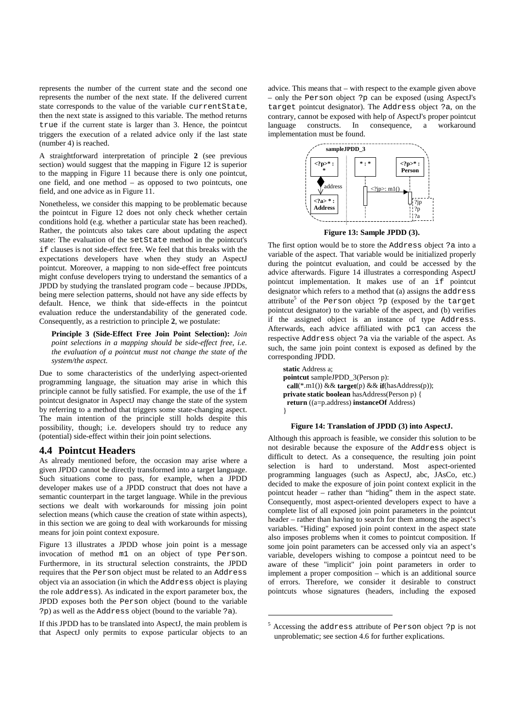represents the number of the current state and the second one represents the number of the next state. If the delivered current state corresponds to the value of the variable currentState, then the next state is assigned to this variable. The method returns true if the current state is larger than 3. Hence, the pointcut triggers the execution of a related advice only if the last state (number 4) is reached.

A straightforward interpretation of principle **2** (see previous section) would suggest that the mapping in Figure 12 is superior to the mapping in Figure 11 because there is only one pointcut, one field, and one method – as opposed to two pointcuts, one field, and one advice as in Figure 11.

Nonetheless, we consider this mapping to be problematic because the pointcut in Figure 12 does not only check whether certain conditions hold (e.g. whether a particular state has been reached). Rather, the pointcuts also takes care about updating the aspect state: The evaluation of the setState method in the pointcut's if clauses is not side-effect free. We feel that this breaks with the expectations developers have when they study an AspectJ pointcut. Moreover, a mapping to non side-effect free pointcuts might confuse developers trying to understand the semantics of a JPDD by studying the translated program code – because JPDDs, being mere selection patterns, should not have any side effects by default. Hence, we think that side-effects in the pointcut evaluation reduce the understandability of the generated code. Consequently, as a restriction to principle **2**, we postulate:

**Principle 3 (Side-Effect Free Join Point Selection):** *Join point selections in a mapping should be side-effect free, i.e. the evaluation of a pointcut must not change the state of the system/the aspect.*

Due to some characteristics of the underlying aspect-oriented programming language, the situation may arise in which this principle cannot be fully satisfied. For example, the use of the if pointcut designator in AspectJ may change the state of the system by referring to a method that triggers some state-changing aspect. The main intention of the principle still holds despite this possibility, though; i.e. developers should try to reduce any (potential) side-effect within their join point selections.

# **4.4 Pointcut Headers**

As already mentioned before, the occasion may arise where a given JPDD cannot be directly transformed into a target language. Such situations come to pass, for example, when a JPDD developer makes use of a JPDD construct that does not have a semantic counterpart in the target language. While in the previous sections we dealt with workarounds for missing join point selection means (which cause the creation of state within aspects), in this section we are going to deal with workarounds for missing means for join point context exposure.

Figure 13 illustrates a JPDD whose join point is a message invocation of method m1 on an object of type Person. Furthermore, in its structural selection constraints, the JPDD requires that the Person object must be related to an Address object via an association (in which the Address object is playing the role address). As indicated in the export parameter box, the JPDD exposes both the Person object (bound to the variable ?p) as well as the Address object (bound to the variable ?a).

If this JPDD has to be translated into AspectJ, the main problem is that AspectJ only permits to expose particular objects to an advice. This means that – with respect to the example given above – only the Person object ?p can be exposed (using AspectJ's target pointcut designator). The Address object ?a, on the contrary, cannot be exposed with help of AspectJ's proper pointcut language constructs. In consequence, a workaround implementation must be found.



**Figure 13: Sample JPDD (3).**

The first option would be to store the Address object ?a into a variable of the aspect. That variable would be initialized properly during the pointcut evaluation, and could be accessed by the advice afterwards. Figure 14 illustrates a corresponding AspectJ pointcut implementation. It makes use of an if pointcut designator which refers to a method that (a) assigns the address attribute<sup>5</sup> of the Person object ?p (exposed by the target pointcut designator) to the variable of the aspect, and (b) verifies if the assigned object is an instance of type Address. Afterwards, each advice affiliated with pc1 can access the respective Address object ?a via the variable of the aspect. As such, the same join point context is exposed as defined by the corresponding JPDD.

**static** Address a; **pointcut** sampleJPDD\_3(Person p): **call**(\*.m1()) && **target**(p) && **if**(hasAddress(p)); **private static boolean** hasAddress(Person p) { **return** ((a=p.address) **instanceOf** Address) }

# **Figure 14: Translation of JPDD (3) into AspectJ.**

Although this approach is feasible, we consider this solution to be not desirable because the exposure of the Address object is difficult to detect. As a consequence, the resulting join point selection is hard to understand. Most aspect-oriented programming languages (such as AspectJ, abc, JAsCo, etc.) decided to make the exposure of join point context explicit in the pointcut header – rather than "hiding" them in the aspect state. Consequently, most aspect-oriented developers expect to have a complete list of all exposed join point parameters in the pointcut header – rather than having to search for them among the aspect's variables. "Hiding" exposed join point context in the aspect state also imposes problems when it comes to pointcut composition. If some join point parameters can be accessed only via an aspect's variable, developers wishing to compose a pointcut need to be aware of these "implicit" join point parameters in order to implement a proper composition – which is an additional source of errors. Therefore, we consider it desirable to construct pointcuts whose signatures (headers, including the exposed

j

 $5$  Accessing the address attribute of Person object ?p is not unproblematic; see section 4.6 for further explications.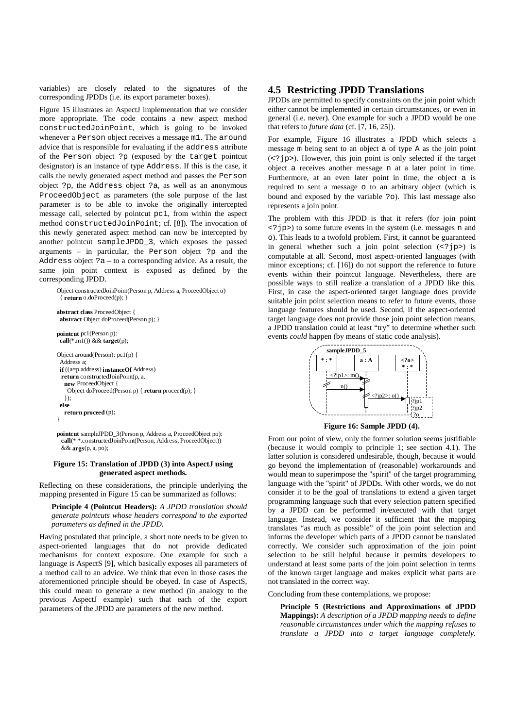variables) are closely related to the signatures of the corresponding JPDDs (i.e. its export parameter boxes).

Figure 15 illustrates an AspectJ implementation that we consider more appropriate. The code contains a new aspect method constructedJoinPoint, which is going to be invoked whenever a Person object receives a message m1. The around advice that is responsible for evaluating if the address attribute of the Person object ?p (exposed by the target pointcut designator) is an instance of type Address. If this is the case, it calls the newly generated aspect method and passes the Person object ?p, the Address object ?a, as well as an anonymous ProceedObject as parameters (the sole purpose of the last parameter is to be able to invoke the originally intercepted message call, selected by pointcut pc1, from within the aspect method constructedJoinPoint; cf. [8]). The invocation of this newly generated aspect method can now be intercepted by another pointcut sampleJPDD\_3, which exposes the passed arguments – in particular, the Person object  $?p$  and the Address object ?a – to a corresponding advice. As a result, the same join point context is exposed as defined by the corresponding JPDD.

Object constructedJoinPoint(Person p, Address a, ProceedObject o) { **return** o.doProceed(p); } **abstract class** ProceedObject { **abstract** Object doProceed(Person p); } **pointcut** pc1(Person p): **call**(\*.m1()) && **target**(p); Object around(Person): pc1(p) { Address a; **if** ((a=p.address) **instanceOf** Address) **return** constructedJoinPoint(p, a, **new** ProceedObject { Object doProceed(Person p) { **return** proceed(p); }  $\lambda$ : **else return proceed** (p); } **pointcut** sampleJPDD\_3(Person p, Address a, ProceedObject po): **call**(\* \*.constructedJoinPoint(Person, Address, ProceedObject))

#### **Figure 15: Translation of JPDD (3) into AspectJ using generated aspect methods.**

&& **args**(p, a, po);

Reflecting on these considerations, the principle underlying the mapping presented in Figure 15 can be summarized as follows:

**Principle 4 (Pointcut Headers):** *A JPDD translation should generate pointcuts whose headers correspond to the exported parameters as defined in the JPDD.*

Having postulated that principle, a short note needs to be given to aspect-oriented languages that do not provide dedicated mechanisms for context exposure. One example for such a language is AspectS [9], which basically exposes all parameters of a method call to an advice. We think that even in those cases the aforementioned principle should be obeyed. In case of AspectS, this could mean to generate a new method (in analogy to the previous AspectJ example) such that each of the export parameters of the JPDD are parameters of the new method.

# **4.5 Restricting JPDD Translations**

JPDDs are permitted to specify constraints on the join point which either cannot be implemented in certain circumstances, or even in general (i.e. never). One example for such a JPDD would be one that refers to *future data* (cf. [7, 16, 25]).

For example, Figure 16 illustrates a JPDD which selects a message m being sent to an object a of type A as the join point  $(\leq$ ?jp>). However, this join point is only selected if the target object a receives another message n at a later point in time. Furthermore, at an even later point in time, the object a is required to sent a message o to an arbitrary object (which is bound and exposed by the variable ?o). This last message also represents a join point.

The problem with this JPDD is that it refers (for join point <?jp>) to some future events in the system (i.e. messages n and o). This leads to a twofold problem. First, it cannot be guaranteed in general whether such a join point selection  $(\langle ?jp \rangle)$  is computable at all. Second, most aspect-oriented languages (with minor exceptions; cf. [16]) do not support the reference to future events within their pointcut language. Nevertheless, there are possible ways to still realize a translation of a JPDD like this. First, in case the aspect-oriented target language does provide suitable join point selection means to refer to future events, those language features should be used. Second, if the aspect-oriented target language does not provide those join point selection means, a JPDD translation could at least "try" to determine whether such events *could* happen (by means of static code analysis).



**Figure 16: Sample JPDD (4).**

From our point of view, only the former solution seems justifiable (because it would comply to principle 1; see section 4.1). The latter solution is considered undesirable, though, because it would go beyond the implementation of (reasonable) workarounds and would mean to superimpose the "spirit" of the target programming language with the "spirit" of JPDDs. With other words, we do not consider it to be the goal of translations to extend a given target programming language such that every selection pattern specified by a JPDD can be performed in/executed with that target language. Instead, we consider it sufficient that the mapping translates "as much as possible" of the join point selection and informs the developer which parts of a JPDD cannot be translated correctly. We consider such approximation of the join point selection to be still helpful because it permits developers to understand at least some parts of the join point selection in terms of the known target language and makes explicit what parts are not translated in the correct way.

Concluding from these contemplations, we propose:

**Principle 5 (Restrictions and Approximations of JPDD Mappings):** *A description of a JPDD mapping needs to define reasonable circumstances under which the mapping refuses to translate a JPDD into a target language completely.*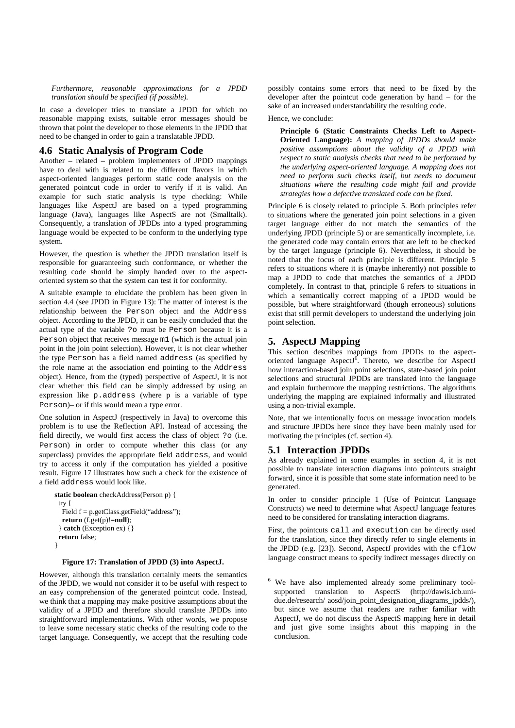*Furthermore, reasonable approximations for a JPDD translation should be specified (if possible).*

In case a developer tries to translate a JPDD for which no reasonable mapping exists, suitable error messages should be thrown that point the developer to those elements in the JPDD that need to be changed in order to gain a translatable JPDD.

## **4.6 Static Analysis of Program Code**

Another – related – problem implementers of JPDD mappings have to deal with is related to the different flavors in which aspect-oriented languages perform static code analysis on the generated pointcut code in order to verify if it is valid. An example for such static analysis is type checking: While languages like AspectJ are based on a typed programming language (Java), languages like AspectS are not (Smalltalk). Consequently, a translation of JPDDs into a typed programming language would be expected to be conform to the underlying type system.

However, the question is whether the JPDD translation itself is responsible for guaranteeing such conformance, or whether the resulting code should be simply handed over to the aspectoriented system so that the system can test it for conformity.

A suitable example to elucidate the problem has been given in section 4.4 (see JPDD in Figure 13): The matter of interest is the relationship between the Person object and the Address object. According to the JPDD, it can be easily concluded that the actual type of the variable ?o must be Person because it is a Person object that receives message m1 (which is the actual join point in the join point selection). However, it is not clear whether the type Person has a field named address (as specified by the role name at the association end pointing to the Address object). Hence, from the (typed) perspective of AspectJ, it is not clear whether this field can be simply addressed by using an expression like p.address (where p is a variable of type Person)– or if this would mean a type error.

One solution in AspectJ (respectively in Java) to overcome this problem is to use the Reflection API. Instead of accessing the field directly, we would first access the class of object ?o (i.e. Person) in order to compute whether this class (or any superclass) provides the appropriate field address, and would try to access it only if the computation has yielded a positive result. Figure 17 illustrates how such a check for the existence of a field address would look like.

```
static boolean checkAddress(Person p) { 
 try { 
  Field f = p.getClass.getField("address");
   return (f.get(p)!=null); 
  } catch (Exception ex) {} 
 return false; 
}
```
#### **Figure 17: Translation of JPDD (3) into AspectJ.**

However, although this translation certainly meets the semantics of the JPDD, we would not consider it to be useful with respect to an easy comprehension of the generated pointcut code. Instead, we think that a mapping may make positive assumptions about the validity of a JPDD and therefore should translate JPDDs into straightforward implementations. With other words, we propose to leave some necessary static checks of the resulting code to the target language. Consequently, we accept that the resulting code possibly contains some errors that need to be fixed by the developer after the pointcut code generation by hand – for the sake of an increased understandability the resulting code.

#### Hence, we conclude:

**Principle 6 (Static Constraints Checks Left to Aspect-Oriented Language):** *A mapping of JPDDs should make positive assumptions about the validity of a JPDD with respect to static analysis checks that need to be performed by the underlying aspect-oriented language. A mapping does not need to perform such checks itself, but needs to document situations where the resulting code might fail and provide strategies how a defective translated code can be fixed.*

Principle 6 is closely related to principle 5. Both principles refer to situations where the generated join point selections in a given target language either do not match the semantics of the underlying JPDD (principle 5) or are semantically incomplete, i.e. the generated code may contain errors that are left to be checked by the target language (principle 6). Nevertheless, it should be noted that the focus of each principle is different. Principle 5 refers to situations where it is (maybe inherently) not possible to map a JPDD to code that matches the semantics of a JPDD completely. In contrast to that, principle 6 refers to situations in which a semantically correct mapping of a JPDD would be possible, but where straightforward (though erroneous) solutions exist that still permit developers to understand the underlying join point selection.

# **5. AspectJ Mapping**

This section describes mappings from JPDDs to the aspectoriented language AspectJ<sup>6</sup>. Thereto, we describe for AspectJ how interaction-based join point selections, state-based join point selections and structural JPDDs are translated into the language and explain furthermore the mapping restrictions. The algorithms underlying the mapping are explained informally and illustrated using a non-trivial example.

Note, that we intentionally focus on message invocation models and structure JPDDs here since they have been mainly used for motivating the principles (cf. section 4).

## **5.1 Interaction JPDDs**

j

As already explained in some examples in section 4, it is not possible to translate interaction diagrams into pointcuts straight forward, since it is possible that some state information need to be generated.

In order to consider principle 1 (Use of Pointcut Language Constructs) we need to determine what AspectJ language features need to be considered for translating interaction diagrams.

First, the pointcuts call and execution can be directly used for the translation, since they directly refer to single elements in the JPDD (e.g. [23]). Second, AspectJ provides with the cflow language construct means to specify indirect messages directly on

<sup>&</sup>lt;sup>6</sup> We have also implemented already some preliminary toolsupported translation to AspectS (http://dawis.icb.unidue.de/research/ aosd/join\_point\_designation\_diagrams\_jpdds/), but since we assume that readers are rather familiar with AspectJ, we do not discuss the AspectS mapping here in detail and just give some insights about this mapping in the conclusion.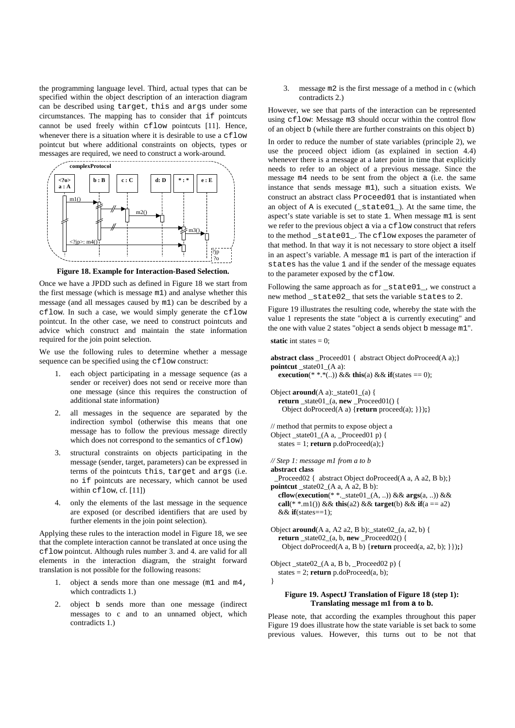the programming language level. Third, actual types that can be specified within the object description of an interaction diagram can be described using target, this and args under some circumstances. The mapping has to consider that if pointcuts cannot be used freely within cflow pointcuts [11]. Hence, whenever there is a situation where it is desirable to use a cflow pointcut but where additional constraints on objects, types or messages are required, we need to construct a work-around.



**Figure 18. Example for Interaction-Based Selection.**

Once we have a JPDD such as defined in Figure 18 we start from the first message (which is message m1) and analyse whether this message (and all messages caused by m1) can be described by a cflow. In such a case, we would simply generate the cflow pointcut. In the other case, we need to construct pointcuts and advice which construct and maintain the state information required for the join point selection.

We use the following rules to determine whether a message sequence can be specified using the cflow construct:

- each object participating in a message sequence (as a sender or receiver) does not send or receive more than one message (since this requires the construction of additional state information)
- 2. all messages in the sequence are separated by the indirection symbol (otherwise this means that one message has to follow the previous message directly which does not correspond to the semantics of  $cflow$
- 3. structural constraints on objects participating in the message (sender, target, parameters) can be expressed in terms of the pointcuts this, target and args (i.e. no if pointcuts are necessary, which cannot be used within cflow, cf. [11])
- 4. only the elements of the last message in the sequence are exposed (or described identifiers that are used by further elements in the join point selection).

Applying these rules to the interaction model in Figure 18, we see that the complete interaction cannot be translated at once using the cflow pointcut. Although rules number 3. and 4. are valid for all elements in the interaction diagram, the straight forward translation is not possible for the following reasons:

- 1. object a sends more than one message (m1 and m4, which contradicts 1.)
- 2. object b sends more than one message (indirect messages to c and to an unnamed object, which contradicts 1.)

3. message m2 is the first message of a method in c (which contradicts 2.)

However, we see that parts of the interaction can be represented using cflow: Message m3 should occur within the control flow of an object b (while there are further constraints on this object b)

In order to reduce the number of state variables (principle 2), we use the proceed object idiom (as explained in section 4.4) whenever there is a message at a later point in time that explicitly needs to refer to an object of a previous message. Since the message m4 needs to be sent from the object a (i.e. the same instance that sends message m1), such a situation exists. We construct an abstract class Proceed01 that is instantiated when an object of A is executed ( $\;$  state01  $\;$  ). At the same time, the aspect's state variable is set to state 1. When message m1 is sent we refer to the previous object a via a cflow construct that refers to the method \_state01\_. The cflow exposes the parameter of that method. In that way it is not necessary to store object a itself in an aspect's variable. A message m1 is part of the interaction if states has the value 1 and if the sender of the message equates to the parameter exposed by the cflow.

Following the same approach as for \_state01\_, we construct a new method \_state02\_ that sets the variable states to 2.

Figure 19 illustrates the resulting code, whereby the state with the value 1 represents the state "object a is currently executing" and the one with value 2 states "object a sends object b message m1".

**static** int states  $= 0$ ;

```
abstract class _Proceed01 { abstract Object doProceed(A a);} 
pointcut _state01_(A a): 
  execution(* *.*(..)) && this(a) && if(states == 0);
Object around(A a):_state01_(a) { 
  return state01 (a, new Proceed01() {
```
Object doProceed(A a) {**return** proceed(a); }})**;**}

```
// method that permits to expose object a 
Object _state01_(A a, _Proceed01 p) { 
  states = 1; return p.doProceed(a); }
```
*// Step 1: message m1 from a to b* **abstract class** Proceed02 { abstract Object doProceed(A a, A a2, B b);} **pointcut** \_state02\_(A a, A a2, B b): **cflow**(**execution**(\* \*.\_state01\_(A, ..)) && **args**(a, ..)) && **call**(\* \*.m1()) && **this**(a2) && **target**(b) && **if**(a == a2) && **if**(states==1);

```
Object around(A a, A2 a2, B b):_state02_(a, a2, b) { 
   return _state02_(a, b, new _Proceed02() { 
    Object doProceed(A a, B b) {return proceed(a, a2, b); }});}
```
Object \_state $02$  (A a, B b, \_Proceed $02$  p) { states  $= 2$ ; **return** p.doProceed(a, b);



#### **Figure 19. AspectJ Translation of Figure 18 (step 1): Translating message m1 from a to b.**

Please note, that according the examples throughout this paper Figure 19 does illustrate how the state variable is set back to some previous values. However, this turns out to be not that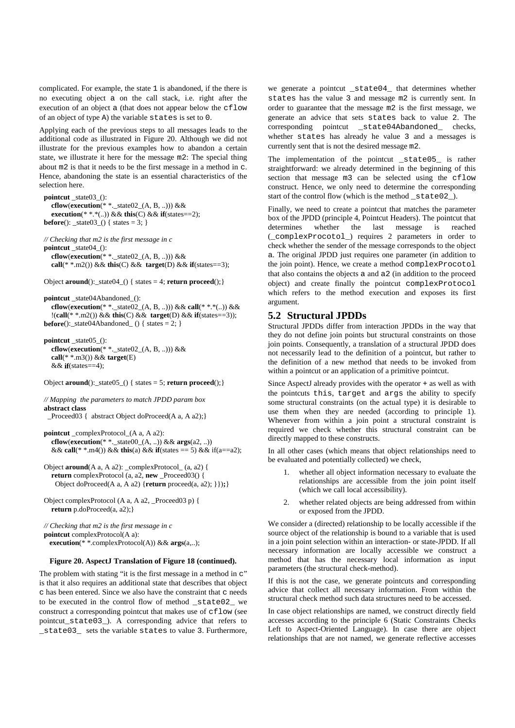complicated. For example, the state 1 is abandoned, if the there is no executing object a on the call stack, i.e. right after the execution of an object a (that does not appear below the cflow of an object of type A) the variable states is set to 0.

Applying each of the previous steps to all messages leads to the additional code as illustrated in Figure 20. Although we did not illustrate for the previous examples how to abandon a certain state, we illustrate it here for the message m2: The special thing about m2 is that it needs to be the first message in a method in c. Hence, abandoning the state is an essential characteristics of the selection here.

**pointcut** state03 (): **cflow**(**execution**(\* \*. state02  $(A, B, ...)$ ) && **execution**(\* \*.\*(..)) && **this**(C) && **if**(states==2); **before**(): \_state03\_() { states = 3; }

*// Checking that m2 is the first message in c* **pointcut** state04 (): **cflow**(**execution**(\* \*.\_state02\_(A, B, ..))) && **call**(\* \*.m2()) && **this**(C) && **target**(D) && **if**(states==3);

Object **around**(): state04 () { states = 4; **return proceed**(); }

```
pointcut _state04Abandoned_(): 
   cflow(execution(* *._state02_(A, B, ..))) && call(* *.*(..)) &&
   !(call(* *.m2()) && this(C) && target(D) && if(states==3)); 
before():_state04Abandoned_ () { states = 2; }
```

```
pointcut _state05_(): 
   cflow(execution(* *._state02_(A, B, ..))) && 
   call(* *.m3()) && target(E) 
   && if(states==4);
```
Object **around**():\_state05\_() { states = 5; **return proceed**();}

*// Mapping the parameters to match JPDD param box* **abstract class**

\_Proceed03 { abstract Object doProceed(A a, A a2);}

```
pointcut _complexProtocol_(A a, A a2): 
  cflow(execution(* *...state00 (A, ...) && args(a2, ...) && call(* *.m4()) && this(a) && if(states == 5) && if(a==a2);
```

```
Object around(A a, A a2): _complexProtocol_ (a, a2) {
  return complexProtocol (a, a2, new _Proceed03() {
    Object doProceed(A a, A a2) {return proceed(a, a2); }});}
```

```
Object complexProtocol (A a, A a2, _Proceed03 p) { 
  return p.doProceed(a, a2);}
```
*// Checking that m2 is the first message in c* **pointcut** complexProtocol(A a): **execution**(\* \*.complexProtocol(A)) && **args**(a,..);

#### **Figure 20. AspectJ Translation of Figure 18 (continued).**

The problem with stating "it is the first message in a method in  $\sigma$ " is that it also requires an additional state that describes that object c has been entered. Since we also have the constraint that c needs to be executed in the control flow of method \_state02\_ we construct a corresponding pointcut that makes use of cflow (see pointcut\_state03\_). A corresponding advice that refers to \_state03\_ sets the variable states to value 3. Furthermore,

we generate a pointcut \_state04\_ that determines whether states has the value 3 and message m2 is currently sent. In order to guarantee that the message m2 is the first message, we generate an advice that sets states back to value 2. The corresponding pointcut \_state04Abandoned\_ checks, whether states has already he value 3 and a messages is currently sent that is not the desired message m2.

The implementation of the pointcut \_state05\_ is rather straightforward: we already determined in the beginning of this section that message m3 can be selected using the cflow construct. Hence, we only need to determine the corresponding start of the control flow (which is the method state02).

Finally, we need to create a pointcut that matches the parameter box of the JPDD (principle 4, Pointcut Headers). The pointcut that determines whether the last message is reached (\_complexProcotol\_) requires 2 parameters in order to check whether the sender of the message corresponds to the object a. The original JPDD just requires one parameter (in addition to the join point). Hence, we create a method complexProcotol that also contains the objects a and a2 (in addition to the proceed object) and create finally the pointcut complexProtocol which refers to the method execution and exposes its first argument.

#### **5.2 Structural JPDDs**

Structural JPDDs differ from interaction JPDDs in the way that they do not define join points but structural constraints on those join points. Consequently, a translation of a structural JPDD does not necessarily lead to the definition of a pointcut, but rather to the definition of a new method that needs to be invoked from within a pointcut or an application of a primitive pointcut.

Since AspectJ already provides with the operator + as well as with the pointcuts this, target and args the ability to specify some structural constraints (on the actual type) it is desirable to use them when they are needed (according to principle 1). Whenever from within a join point a structural constraint is required we check whether this structural constraint can be directly mapped to these constructs.

In all other cases (which means that object relationships need to be evaluated and potentially collected) we check,

- 1. whether all object information necessary to evaluate the relationships are accessible from the join point itself (which we call local accessibility).
- 2. whether related objects are being addressed from within or exposed from the JPDD.

We consider a (directed) relationship to be locally accessible if the source object of the relationship is bound to a variable that is used in a join point selection within an interaction- or state-JPDD. If all necessary information are locally accessible we construct a method that has the necessary local information as input parameters (the structural check-method).

If this is not the case, we generate pointcuts and corresponding advice that collect all necessary information. From within the structural check method such data structures need to be accessed.

In case object relationships are named, we construct directly field accesses according to the principle 6 (Static Constraints Checks Left to Aspect-Oriented Language). In case there are object relationships that are not named, we generate reflective accesses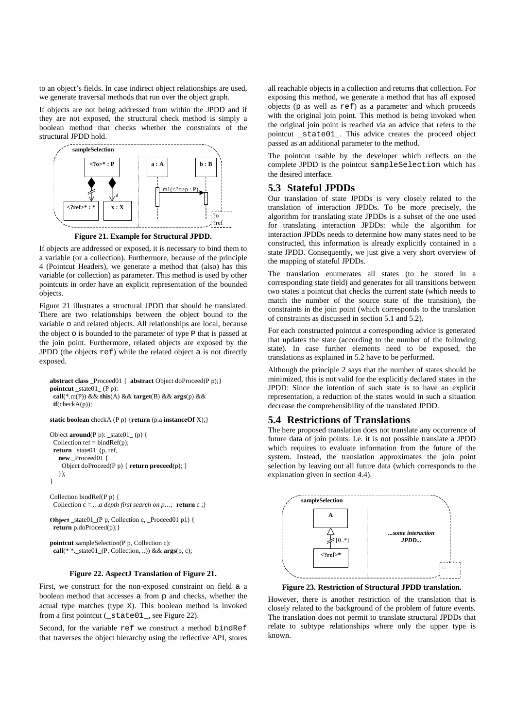to an object's fields. In case indirect object relationships are used, we generate traversal methods that run over the object graph.

If objects are not being addressed from within the JPDD and if they are not exposed, the structural check method is simply a boolean method that checks whether the constraints of the structural JPDD hold.



**Figure 21. Example for Structural JPDD.**

If objects are addressed or exposed, it is necessary to bind them to a variable (or a collection). Furthermore, because of the principle 4 (Pointcut Headers), we generate a method that (also) has this variable (or collection) as parameter. This method is used by other pointcuts in order have an explicit representation of the bounded objects.

Figure 21 illustrates a structural JPDD that should be translated. There are two relationships between the object bound to the variable o and related objects. All relationships are local, because the object o is bounded to the parameter of type P that is passed at the join point. Furthermore, related objects are exposed by the JPDD (the objects ref) while the related object a is not directly exposed.

```
abstract class _Proceed01 { abstract Object doProceed(P p);} 
pointcut state01 (P p):
 call(*.m(P)) && this(A) && target(B) && args(p) && 
 if(checkA(p)); 
static boolean checkA (P p) {return (p.a instanceOf X);} 
Object around(P p): _state01_ (p) { 
Collection ref = \overline{bindRef}(p);
 return _state01_(p, ref, 
  new _Proceed01 {
     Object doProceed(P p) { return proceed(p); } 
    }); 
} 
Collection bindRef(P p) { 
 Collection c = …a depth first search on p…; return c ;}
Object state01 (P p, Collection c, Proceed01 p1) {
return p.doProceed(p); }
```

```
pointcut sampleSelection(P p, Collection c): 
  call(* *._state01_(P, Collection, ..)) && args(p, c);
```
# **Figure 22. AspectJ Translation of Figure 21.**

First, we construct for the non-exposed constraint on field a a boolean method that accesses a from p and checks, whether the actual type matches (type X). This boolean method is invoked from a first pointcut (\_state01\_, see Figure 22).

Second, for the variable ref we construct a method bindRef that traverses the object hierarchy using the reflective API, stores all reachable objects in a collection and returns that collection. For exposing this method, we generate a method that has all exposed objects (p as well as ref) as a parameter and which proceeds with the original join point. This method is being invoked when the original join point is reached via an advice that refers to the pointcut \_state01\_. This advice creates the proceed object passed as an additional parameter to the method.

The pointcut usable by the developer which reflects on the complete JPDD is the pointcut sampleSelection which has the desired interface.

## **5.3 Stateful JPDDs**

Our translation of state JPDDs is very closely related to the translation of interaction JPDDs. To be more precisely, the algorithm for translating state JPDDs is a subset of the one used for translating interaction JPDDs: while the algorithm for interaction JPDDs needs to determine how many states need to be constructed, this information is already explicitly contained in a state JPDD. Consequently, we just give a very short overview of the mapping of stateful JPDDs.

The translation enumerates all states (to be stored in a corresponding state field) and generates for all transitions between two states a pointcut that checks the current state (which needs to match the number of the source state of the transition), the constraints in the join point (which corresponds to the translation of constraints as discussed in section 5.1 and 5.2).

For each constructed pointcut a corresponding advice is generated that updates the state (according to the number of the following state). In case further elements need to be exposed, the translations as explained in 5.2 have to be performed.

Although the principle 2 says that the number of states should be minimized, this is not valid for the explicitly declared states in the JPDD: Since the intention of such state is to have an explicit representation, a reduction of the states would in such a situation decrease the comprehensibility of the translated JPDD.

## **5.4 Restrictions of Translations**

The here proposed translation does not translate any occurrence of future data of join points. I.e. it is not possible translate a JPDD which requires to evaluate information from the future of the system. Instead, the translation approximates the join point selection by leaving out all future data (which corresponds to the explanation given in section 4.4).



**Figure 23. Restriction of Structural JPDD translation.**

However, there is another restriction of the translation that is closely related to the background of the problem of future events. The translation does not permit to translate structural JPDDs that relate to subtype relationships where only the upper type is known.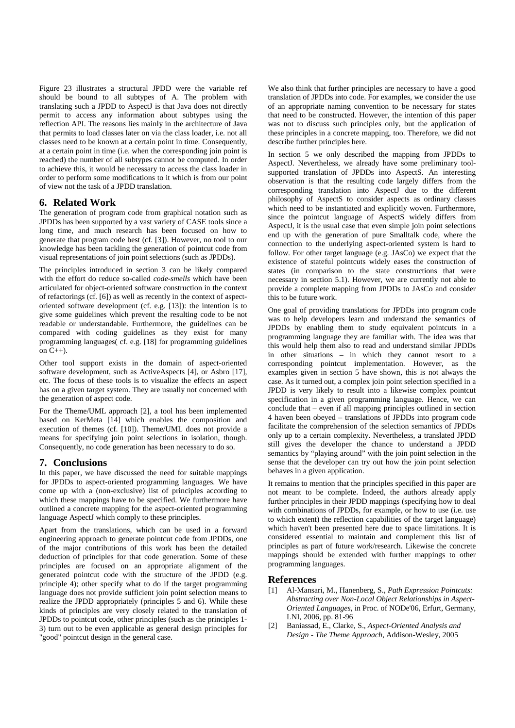Figure 23 illustrates a structural JPDD were the variable ref should be bound to all subtypes of A. The problem with translating such a JPDD to AspectJ is that Java does not directly permit to access any information about subtypes using the reflection API. The reasons lies mainly in the architecture of Java that permits to load classes later on via the class loader, i.e. not all classes need to be known at a certain point in time. Consequently, at a certain point in time (i.e. when the corresponding join point is reached) the number of all subtypes cannot be computed. In order to achieve this, it would be necessary to access the class loader in order to perform some modifications to it which is from our point of view not the task of a JPDD translation.

# **6. Related Work**

The generation of program code from graphical notation such as JPDDs has been supported by a vast variety of CASE tools since a long time, and much research has been focused on how to generate that program code best (cf. [3]). However, no tool to our knowledge has been tackling the generation of pointcut code from visual representations of join point selections (such as JPDDs).

The principles introduced in section 3 can be likely compared with the effort do reduce so-called *code-smells* which have been articulated for object-oriented software construction in the context of refactorings (cf. [6]) as well as recently in the context of aspectoriented software development (cf. e.g. [13]): the intention is to give some guidelines which prevent the resulting code to be not readable or understandable. Furthermore, the guidelines can be compared with coding guidelines as they exist for many programming languages( cf. e.g. [18] for programming guidelines on C++).

Other tool support exists in the domain of aspect-oriented software development, such as ActiveAspects [4], or Asbro [17], etc. The focus of these tools is to visualize the effects an aspect has on a given target system. They are usually not concerned with the generation of aspect code.

For the Theme/UML approach [2], a tool has been implemented based on KerMeta [14] which enables the composition and execution of themes (cf. [10]). Theme/UML does not provide a means for specifying join point selections in isolation, though. Consequently, no code generation has been necessary to do so.

# **7. Conclusions**

In this paper, we have discussed the need for suitable mappings for JPDDs to aspect-oriented programming languages. We have come up with a (non-exclusive) list of principles according to which these mappings have to be specified. We furthermore have outlined a concrete mapping for the aspect-oriented programming language AspectJ which comply to these principles.

Apart from the translations, which can be used in a forward engineering approach to generate pointcut code from JPDDs, one of the major contributions of this work has been the detailed deduction of principles for that code generation. Some of these principles are focused on an appropriate alignment of the generated pointcut code with the structure of the JPDD (e.g. principle 4); other specify what to do if the target programming language does not provide sufficient join point selection means to realize the JPDD appropriately (principles 5 and 6). While these kinds of principles are very closely related to the translation of JPDDs to pointcut code, other principles (such as the principles 1- 3) turn out to be even applicable as general design principles for "good" pointcut design in the general case.

We also think that further principles are necessary to have a good translation of JPDDs into code. For examples, we consider the use of an appropriate naming convention to be necessary for states that need to be constructed. However, the intention of this paper was not to discuss such principles only, but the application of these principles in a concrete mapping, too. Therefore, we did not describe further principles here.

In section 5 we only described the mapping from JPDDs to AspectJ. Nevertheless, we already have some preliminary toolsupported translation of JPDDs into AspectS. An interesting observation is that the resulting code largely differs from the corresponding translation into AspectJ due to the different philosophy of AspectS to consider aspects as ordinary classes which need to be instantiated and explicitly woven. Furthermore, since the pointcut language of AspectS widely differs from AspectJ, it is the usual case that even simple join point selections end up with the generation of pure Smalltalk code, where the connection to the underlying aspect-oriented system is hard to follow. For other target language (e.g. JAsCo) we expect that the existence of stateful pointcuts widely eases the construction of states (in comparison to the state constructions that were necessary in section 5.1). However, we are currently not able to provide a complete mapping from JPDDs to JAsCo and consider this to be future work.

One goal of providing translations for JPDDs into program code was to help developers learn and understand the semantics of JPDDs by enabling them to study equivalent pointcuts in a programming language they are familiar with. The idea was that this would help them also to read and understand similar JPDDs in other situations – in which they cannot resort to a corresponding pointcut implementation. However, as the examples given in section 5 have shown, this is not always the case. As it turned out, a complex join point selection specified in a JPDD is very likely to result into a likewise complex pointcut specification in a given programming language. Hence, we can conclude that – even if all mapping principles outlined in section 4 haven been obeyed – translations of JPDDs into program code facilitate the comprehension of the selection semantics of JPDDs only up to a certain complexity. Nevertheless, a translated JPDD still gives the developer the chance to understand a JPDD semantics by "playing around" with the join point selection in the sense that the developer can try out how the join point selection behaves in a given application.

It remains to mention that the principles specified in this paper are not meant to be complete. Indeed, the authors already apply further principles in their JPDD mappings (specifying how to deal with combinations of JPDDs, for example, or how to use (i.e. use to which extent) the reflection capabilities of the target language) which haven't been presented here due to space limitations. It is considered essential to maintain and complement this list of principles as part of future work/research. Likewise the concrete mappings should be extended with further mappings to other programming languages.

## **References**

- [1] Al-Mansari, M., Hanenberg, S., *Path Expression Pointcuts: Abstracting over Non-Local Object Relationships in Aspect-Oriented Languages*, in Proc. of NODe'06, Erfurt, Germany, LNI, 2006, pp. 81-96
- [2] Baniassad, E., Clarke, S., *Aspect-Oriented Analysis and Design - The Theme Approach*, Addison-Wesley, 2005